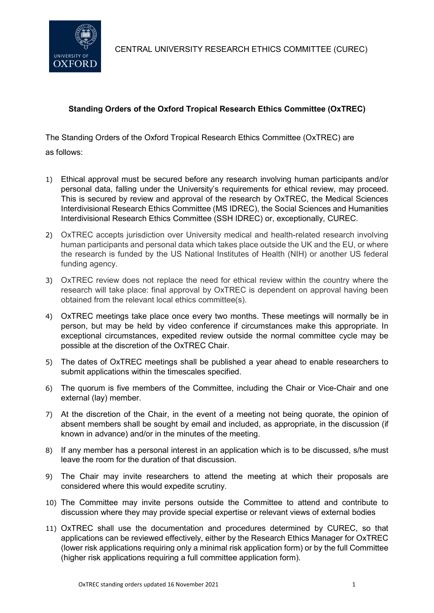

CENTRAL UNIVERSITY RESEARCH ETHICS COMMITTEE (CUREC)

## **Standing Orders of the Oxford Tropical Research Ethics Committee (OxTREC)**

The Standing Orders of the Oxford Tropical Research Ethics Committee (OxTREC) are as follows:

- 1) Ethical approval must be secured before any research involving human participants and/or personal data, falling under the University's requirements for ethical review, may proceed. This is secured by review and approval of the research by OxTREC, the Medical Sciences Interdivisional Research Ethics Committee (MS IDREC), the Social Sciences and Humanities Interdivisional Research Ethics Committee (SSH IDREC) or, exceptionally, CUREC.
- 2) OxTREC accepts jurisdiction over University medical and health-related research involving human participants and personal data which takes place outside the UK and the EU, or where the research is funded by the US National Institutes of Health (NIH) or another US federal funding agency.
- 3) OxTREC review does not replace the need for ethical review within the country where the research will take place: final approval by OxTREC is dependent on approval having been obtained from the relevant local ethics committee(s).
- 4) OxTREC meetings take place once every two months. These meetings will normally be in person, but may be held by video conference if circumstances make this appropriate. In exceptional circumstances, expedited review outside the normal committee cycle may be possible at the discretion of the OxTREC Chair.
- 5) The dates of OxTREC meetings shall be published a year ahead to enable researchers to submit applications within the timescales specified.
- 6) The quorum is five members of the Committee, including the Chair or Vice-Chair and one external (lay) member.
- 7) At the discretion of the Chair, in the event of a meeting not being quorate, the opinion of absent members shall be sought by email and included, as appropriate, in the discussion (if known in advance) and/or in the minutes of the meeting.
- 8) If any member has a personal interest in an application which is to be discussed, s/he must leave the room for the duration of that discussion.
- 9) The Chair may invite researchers to attend the meeting at which their proposals are considered where this would expedite scrutiny.
- 10) The Committee may invite persons outside the Committee to attend and contribute to discussion where they may provide special expertise or relevant views of external bodies
- 11) OxTREC shall use the documentation and procedures determined by CUREC, so that applications can be reviewed effectively, either by the Research Ethics Manager for OxTREC (lower risk applications requiring only a minimal risk application form) or by the full Committee (higher risk applications requiring a full committee application form).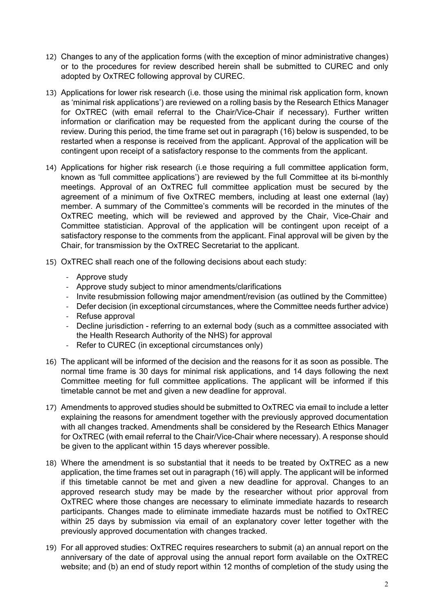- 12) Changes to any of the application forms (with the exception of minor administrative changes) or to the procedures for review described herein shall be submitted to CUREC and only adopted by OxTREC following approval by CUREC.
- 13) Applications for lower risk research (i.e. those using the minimal risk application form, known as 'minimal risk applications') are reviewed on a rolling basis by the Research Ethics Manager for OxTREC (with email referral to the Chair/Vice-Chair if necessary). Further written information or clarification may be requested from the applicant during the course of the review. During this period, the time frame set out in paragraph (16) below is suspended, to be restarted when a response is received from the applicant. Approval of the application will be contingent upon receipt of a satisfactory response to the comments from the applicant.
- 14) Applications for higher risk research (i.e those requiring a full committee application form, known as 'full committee applications') are reviewed by the full Committee at its bi-monthly meetings. Approval of an OxTREC full committee application must be secured by the agreement of a minimum of five OxTREC members, including at least one external (lay) member. A summary of the Committee's comments will be recorded in the minutes of the OxTREC meeting, which will be reviewed and approved by the Chair, Vice-Chair and Committee statistician. Approval of the application will be contingent upon receipt of a satisfactory response to the comments from the applicant. Final approval will be given by the Chair, for transmission by the OxTREC Secretariat to the applicant.
- 15) OxTREC shall reach one of the following decisions about each study:
	- Approve study
	- Approve study subject to minor amendments/clarifications
	- Invite resubmission following major amendment/revision (as outlined by the Committee)
	- Defer decision (in exceptional circumstances, where the Committee needs further advice)
	- Refuse approval
	- Decline jurisdiction referring to an external body (such as a committee associated with the Health Research Authority of the NHS) for approval
	- Refer to CUREC (in exceptional circumstances only)
- 16) The applicant will be informed of the decision and the reasons for it as soon as possible. The normal time frame is 30 days for minimal risk applications, and 14 days following the next Committee meeting for full committee applications. The applicant will be informed if this timetable cannot be met and given a new deadline for approval.
- 17) Amendments to approved studies should be submitted to OxTREC via email to include a letter explaining the reasons for amendment together with the previously approved documentation with all changes tracked. Amendments shall be considered by the Research Ethics Manager for OxTREC (with email referral to the Chair/Vice-Chair where necessary). A response should be given to the applicant within 15 days wherever possible.
- 18) Where the amendment is so substantial that it needs to be treated by OxTREC as a new application, the time frames set out in paragraph (16) will apply. The applicant will be informed if this timetable cannot be met and given a new deadline for approval. Changes to an approved research study may be made by the researcher without prior approval from OxTREC where those changes are necessary to eliminate immediate hazards to research participants. Changes made to eliminate immediate hazards must be notified to OxTREC within 25 days by submission via email of an explanatory cover letter together with the previously approved documentation with changes tracked.
- 19) For all approved studies: OxTREC requires researchers to submit (a) an annual report on the anniversary of the date of approval using the annual report form available on the OxTREC website; and (b) an end of study report within 12 months of completion of the study using the